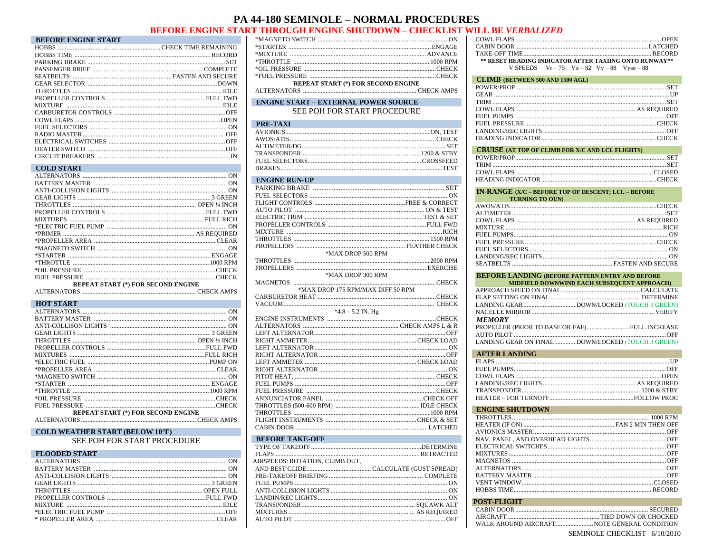## **PA 44-180 SEMINOLE - NORMAL PROCEDURES**

## **BEFORE ENGINE START THROUGH ENGINE SHUTDOWN - CHECKLIST WILL BE VERBALIZED**

| <b>BEFORE ENGINE START</b> |  |
|----------------------------|--|
|                            |  |
|                            |  |
|                            |  |
|                            |  |
|                            |  |
|                            |  |
|                            |  |
|                            |  |
|                            |  |
|                            |  |
|                            |  |
|                            |  |
|                            |  |
|                            |  |
|                            |  |
| $CCT$ $DCT$ $DCT$          |  |

| <u>UULID STAKT</u>                        |  |
|-------------------------------------------|--|
|                                           |  |
|                                           |  |
|                                           |  |
|                                           |  |
|                                           |  |
|                                           |  |
|                                           |  |
|                                           |  |
|                                           |  |
|                                           |  |
|                                           |  |
|                                           |  |
|                                           |  |
|                                           |  |
|                                           |  |
| <b>REPEAT START (*) FOR SECOND ENGINE</b> |  |
|                                           |  |

#### 

| <b>HOT START</b>                          |  |
|-------------------------------------------|--|
|                                           |  |
|                                           |  |
|                                           |  |
|                                           |  |
|                                           |  |
|                                           |  |
|                                           |  |
|                                           |  |
|                                           |  |
|                                           |  |
|                                           |  |
|                                           |  |
|                                           |  |
|                                           |  |
| <b>REPEAT START (*) FOR SECOND ENGINE</b> |  |
|                                           |  |

#### 

#### **COLD WEATHER START (BELOW 10°F)**

SEE POH FOR START PROCEDURE

#### **FLOODED START EXECUTIVE START**

| <b>REPEAT START (*) FOR SECOND ENGINE</b> |  |
|-------------------------------------------|--|

#### **ENGINE START - EXTERNAL POWER SOURCE** SEE POH FOR START PROCEDURE

| PRE-TAXI |  |
|----------|--|
|          |  |
|          |  |
|          |  |
|          |  |
|          |  |
|          |  |

#### **ENGINE RUN-UP**

|  | *MAX DROP 500 RPM                 |
|--|-----------------------------------|
|  |                                   |
|  |                                   |
|  | *MAX DROP 300 RPM                 |
|  |                                   |
|  | *MAX DROP 175 RPM/MAX DIFF 50 RPM |
|  |                                   |
|  |                                   |
|  | $*4.8 - 5.2$ IN. Hg               |
|  |                                   |
|  |                                   |
|  |                                   |
|  |                                   |
|  |                                   |
|  |                                   |
|  |                                   |
|  |                                   |
|  |                                   |
|  |                                   |
|  |                                   |
|  |                                   |
|  |                                   |
|  |                                   |
|  |                                   |
|  |                                   |

#### **BEFORE TAKE-OFF**

| AIRSPEEDS: ROTATION, CLIMB OUT. |  |
|---------------------------------|--|
|                                 |  |
|                                 |  |
|                                 |  |
|                                 |  |
|                                 |  |
|                                 |  |
|                                 |  |
|                                 |  |
|                                 |  |

| ** RESET HEADING INDICATOR AFTER TAXIING ONTO RUNWAY** |
|--------------------------------------------------------|
| V SPEEDS $Vr - 75$ $Vx - 82$ $Vy - 88$ $Vyse - 88$     |

| <b>CLIMB (BETWEEN 500 AND 1500 AGL)</b> |  |
|-----------------------------------------|--|
|                                         |  |
|                                         |  |
|                                         |  |
|                                         |  |
|                                         |  |
|                                         |  |
|                                         |  |
|                                         |  |
|                                         |  |

#### CRUISE (AT TOP OF CLIMB FOR X/C AND LCL FLIGHTS)

#### **IN-RANGE (X/C - BEFORE TOP OF DESCENT; LCL - BEFORE**

| <b>EXAMPLE TO A PROPERTY OF A PROPERTY OF A PROPERTY OF A PROPERTY OF A PROPERTY OF A PROPERTY OF A PROPERTY OF A</b> |  |
|-----------------------------------------------------------------------------------------------------------------------|--|
|                                                                                                                       |  |
|                                                                                                                       |  |
|                                                                                                                       |  |
|                                                                                                                       |  |
|                                                                                                                       |  |
|                                                                                                                       |  |
|                                                                                                                       |  |
|                                                                                                                       |  |
|                                                                                                                       |  |
|                                                                                                                       |  |

### **BEFORE LANDING (BEFORE PATTERN ENTRY AND BEFORE**

|               | MIDFIELD DOWNWIND EACH SUBSEQUENT APPROACH)       |
|---------------|---------------------------------------------------|
|               |                                                   |
|               |                                                   |
|               |                                                   |
|               |                                                   |
| <b>MEMORY</b> |                                                   |
|               | PROPELLER (PRIOR TO BASE OR FAF) FULL INCREASE    |
|               |                                                   |
|               | LANDING GEAR ON FINAL DOWN/LOCKED (TOUCH 3 GREEN) |

#### **AFTER LANDING**

| AFTER EXPIRENT |  |
|----------------|--|
|                |  |
|                |  |
|                |  |
|                |  |
|                |  |
|                |  |
|                |  |

### **ENGINE SHUTDOWN**

#### POST-FLIGHT

SEMINOLE CHECKLIST 6/10/2010